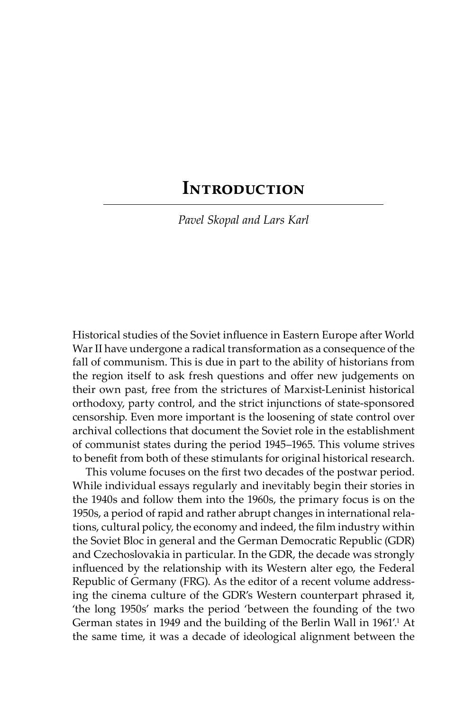# **Introduction**

*Pavel Skopal and Lars Karl*

Historical studies of the Soviet influence in Eastern Europe after World War II have undergone a radical transformation as a consequence of the fall of communism. This is due in part to the ability of historians from the region itself to ask fresh questions and offer new judgements on their own past, free from the strictures of Marxist-Leninist historical orthodoxy, party control, and the strict injunctions of state-sponsored censorship. Even more important is the loosening of state control over archival collections that document the Soviet role in the establishment of communist states during the period 1945–1965. This volume strives to benefit from both of these stimulants for original historical research.

This volume focuses on the first two decades of the postwar period. While individual essays regularly and inevitably begin their stories in the 1940s and follow them into the 1960s, the primary focus is on the 1950s, a period of rapid and rather abrupt changes in international relations, cultural policy, the economy and indeed, the film industry within the Soviet Bloc in general and the German Democratic Republic (GDR) and Czechoslovakia in particular. In the GDR, the decade was strongly influenced by the relationship with its Western alter ego, the Federal Republic of Germany (FRG). As the editor of a recent volume addressing the cinema culture of the GDR's Western counterpart phrased it, 'the long 1950s' marks the period 'between the founding of the two German states in 1949 and the building of the Berlin Wall in 1961'.<sup>1</sup> At the same time, it was a decade of ideological alignment between the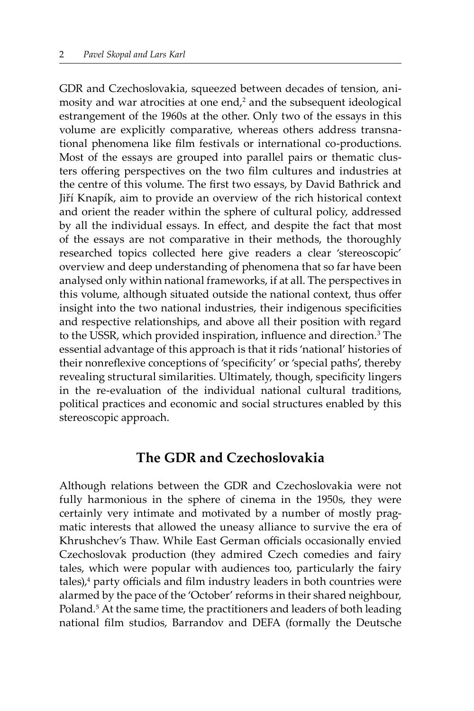GDR and Czechoslovakia, squeezed between decades of tension, animosity and war atrocities at one end, $2$  and the subsequent ideological estrangement of the 1960s at the other. Only two of the essays in this volume are explicitly comparative, whereas others address transnational phenomena like film festivals or international co-productions. Most of the essays are grouped into parallel pairs or thematic clusters offering perspectives on the two film cultures and industries at the centre of this volume. The first two essays, by David Bathrick and Jiří Knapík, aim to provide an overview of the rich historical context and orient the reader within the sphere of cultural policy, addressed by all the individual essays. In effect, and despite the fact that most of the essays are not comparative in their methods, the thoroughly researched topics collected here give readers a clear 'stereoscopic' overview and deep understanding of phenomena that so far have been analysed only within national frameworks, if at all. The perspectives in this volume, although situated outside the national context, thus offer insight into the two national industries, their indigenous specificities and respective relationships, and above all their position with regard to the USSR, which provided inspiration, influence and direction.<sup>3</sup> The essential advantage of this approach is that it rids 'national' histories of their nonreflexive conceptions of 'specificity' or 'special paths', thereby revealing structural similarities. Ultimately, though, specificity lingers in the re-evaluation of the individual national cultural traditions, political practices and economic and social structures enabled by this stereoscopic approach.

#### **The GDR and Czechoslovakia**

Although relations between the GDR and Czechoslovakia were not fully harmonious in the sphere of cinema in the 1950s, they were certainly very intimate and motivated by a number of mostly pragmatic interests that allowed the uneasy alliance to survive the era of Khrushchev's Thaw. While East German officials occasionally envied Czechoslovak production (they admired Czech comedies and fairy tales, which were popular with audiences too, particularly the fairy tales),<sup>4</sup> party officials and film industry leaders in both countries were alarmed by the pace of the 'October' reforms in their shared neighbour, Poland.<sup>5</sup> At the same time, the practitioners and leaders of both leading national film studios, Barrandov and DEFA (formally the Deutsche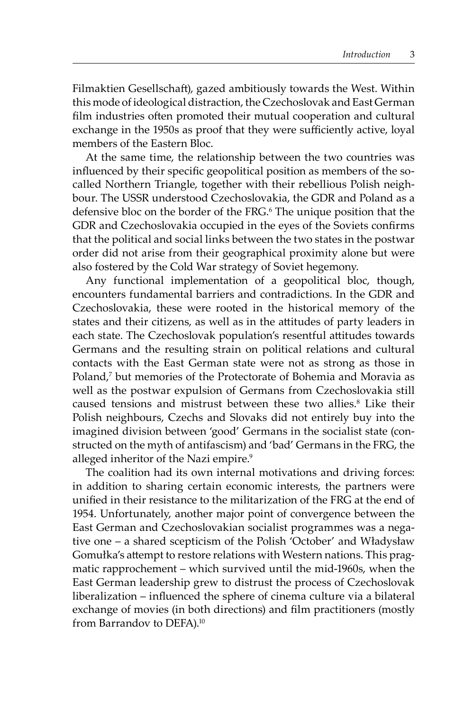Filmaktien Gesellschaft), gazed ambitiously towards the West. Within this mode of ideological distraction, the Czechoslovak and East German film industries often promoted their mutual cooperation and cultural exchange in the 1950s as proof that they were sufficiently active, loyal members of the Eastern Bloc.

At the same time, the relationship between the two countries was influenced by their specific geopolitical position as members of the socalled Northern Triangle, together with their rebellious Polish neighbour. The USSR understood Czechoslovakia, the GDR and Poland as a defensive bloc on the border of the FRG.<sup>6</sup> The unique position that the GDR and Czechoslovakia occupied in the eyes of the Soviets confirms that the political and social links between the two states in the postwar order did not arise from their geographical proximity alone but were also fostered by the Cold War strategy of Soviet hegemony.

Any functional implementation of a geopolitical bloc, though, encounters fundamental barriers and contradictions. In the GDR and Czechoslovakia, these were rooted in the historical memory of the states and their citizens, as well as in the attitudes of party leaders in each state. The Czechoslovak population's resentful attitudes towards Germans and the resulting strain on political relations and cultural contacts with the East German state were not as strong as those in Poland,7 but memories of the Protectorate of Bohemia and Moravia as well as the postwar expulsion of Germans from Czechoslovakia still caused tensions and mistrust between these two allies.<sup>8</sup> Like their Polish neighbours, Czechs and Slovaks did not entirely buy into the imagined division between 'good' Germans in the socialist state (constructed on the myth of antifascism) and 'bad' Germans in the FRG, the alleged inheritor of the Nazi empire.<sup>9</sup>

The coalition had its own internal motivations and driving forces: in addition to sharing certain economic interests, the partners were unified in their resistance to the militarization of the FRG at the end of 1954. Unfortunately, another major point of convergence between the East German and Czechoslovakian socialist programmes was a negative one – a shared scepticism of the Polish 'October' and Władysław Gomułka's attempt to restore relations with Western nations. This pragmatic rapprochement – which survived until the mid-1960s, when the East German leadership grew to distrust the process of Czechoslovak liberalization – influenced the sphere of cinema culture via a bilateral exchange of movies (in both directions) and film practitioners (mostly from Barrandov to DEFA).10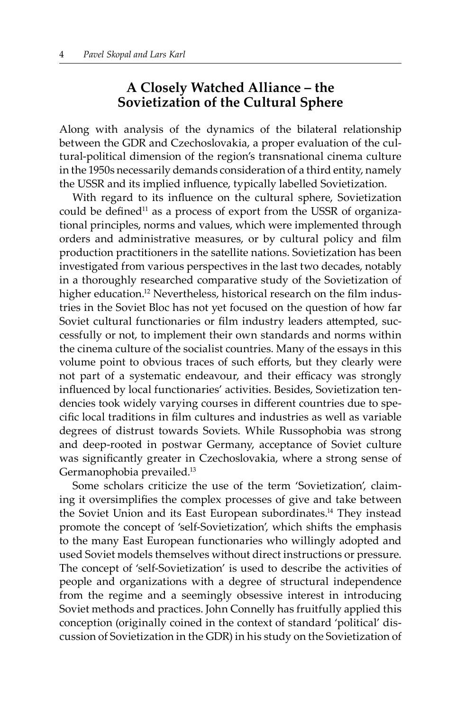### **A Closely Watched Alliance – the Sovietization of the Cultural Sphere**

Along with analysis of the dynamics of the bilateral relationship between the GDR and Czechoslovakia, a proper evaluation of the cultural-political dimension of the region's transnational cinema culture in the 1950s necessarily demands consideration of a third entity, namely the USSR and its implied influence, typically labelled Sovietization.

With regard to its influence on the cultural sphere, Sovietization could be defined<sup>11</sup> as a process of export from the USSR of organizational principles, norms and values, which were implemented through orders and administrative measures, or by cultural policy and film production practitioners in the satellite nations. Sovietization has been investigated from various perspectives in the last two decades, notably in a thoroughly researched comparative study of the Sovietization of higher education.<sup>12</sup> Nevertheless, historical research on the film industries in the Soviet Bloc has not yet focused on the question of how far Soviet cultural functionaries or film industry leaders attempted, successfully or not, to implement their own standards and norms within the cinema culture of the socialist countries. Many of the essays in this volume point to obvious traces of such efforts, but they clearly were not part of a systematic endeavour, and their efficacy was strongly influenced by local functionaries' activities. Besides, Sovietization tendencies took widely varying courses in different countries due to specific local traditions in film cultures and industries as well as variable degrees of distrust towards Soviets. While Russophobia was strong and deep-rooted in postwar Germany, acceptance of Soviet culture was significantly greater in Czechoslovakia, where a strong sense of Germanophobia prevailed.13

Some scholars criticize the use of the term 'Sovietization', claiming it oversimplifies the complex processes of give and take between the Soviet Union and its East European subordinates.<sup>14</sup> They instead promote the concept of 'self-Sovietization', which shifts the emphasis to the many East European functionaries who willingly adopted and used Soviet models themselves without direct instructions or pressure. The concept of 'self-Sovietization' is used to describe the activities of people and organizations with a degree of structural independence from the regime and a seemingly obsessive interest in introducing Soviet methods and practices. John Connelly has fruitfully applied this conception (originally coined in the context of standard 'political' discussion of Sovietization in the GDR) in his study on the Sovietization of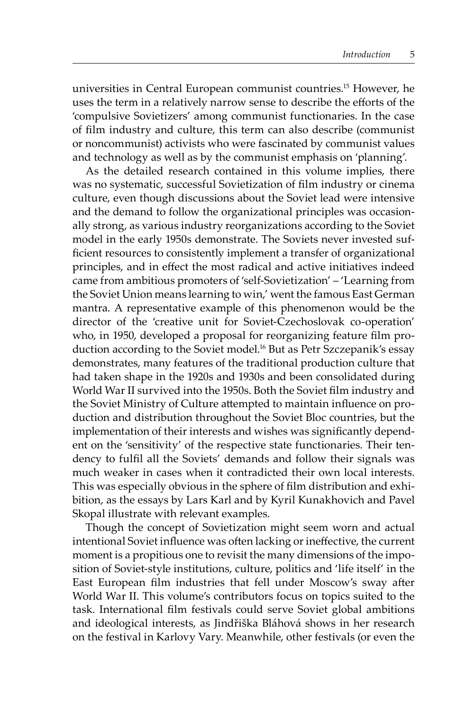universities in Central European communist countries.15 However, he uses the term in a relatively narrow sense to describe the efforts of the 'compulsive Sovietizers' among communist functionaries. In the case of film industry and culture, this term can also describe (communist or noncommunist) activists who were fascinated by communist values and technology as well as by the communist emphasis on 'planning'.

As the detailed research contained in this volume implies, there was no systematic, successful Sovietization of film industry or cinema culture, even though discussions about the Soviet lead were intensive and the demand to follow the organizational principles was occasionally strong, as various industry reorganizations according to the Soviet model in the early 1950s demonstrate. The Soviets never invested sufficient resources to consistently implement a transfer of organizational principles, and in effect the most radical and active initiatives indeed came from ambitious promoters of 'self-Sovietization' – 'Learning from the Soviet Union means learning to win,' went the famous East German mantra. A representative example of this phenomenon would be the director of the 'creative unit for Soviet-Czechoslovak co-operation' who, in 1950, developed a proposal for reorganizing feature film production according to the Soviet model.<sup>16</sup> But as Petr Szczepanik's essay demonstrates, many features of the traditional production culture that had taken shape in the 1920s and 1930s and been consolidated during World War II survived into the 1950s. Both the Soviet film industry and the Soviet Ministry of Culture attempted to maintain influence on production and distribution throughout the Soviet Bloc countries, but the implementation of their interests and wishes was significantly dependent on the 'sensitivity' of the respective state functionaries. Their tendency to fulfil all the Soviets' demands and follow their signals was much weaker in cases when it contradicted their own local interests. This was especially obvious in the sphere of film distribution and exhibition, as the essays by Lars Karl and by Kyril Kunakhovich and Pavel Skopal illustrate with relevant examples.

Though the concept of Sovietization might seem worn and actual intentional Soviet influence was often lacking or ineffective, the current moment is a propitious one to revisit the many dimensions of the imposition of Soviet-style institutions, culture, politics and 'life itself' in the East European film industries that fell under Moscow's sway after World War II. This volume's contributors focus on topics suited to the task. International film festivals could serve Soviet global ambitions and ideological interests, as Jindřiška Bláhová shows in her research on the festival in Karlovy Vary. Meanwhile, other festivals (or even the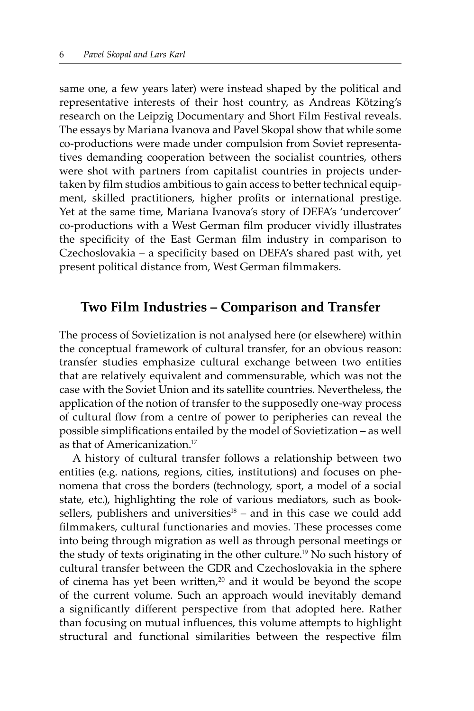same one, a few years later) were instead shaped by the political and representative interests of their host country, as Andreas Kötzing's research on the Leipzig Documentary and Short Film Festival reveals. The essays by Mariana Ivanova and Pavel Skopal show that while some co-productions were made under compulsion from Soviet representatives demanding cooperation between the socialist countries, others were shot with partners from capitalist countries in projects undertaken by film studios ambitious to gain access to better technical equipment, skilled practitioners, higher profits or international prestige. Yet at the same time, Mariana Ivanova's story of DEFA's 'undercover' co-productions with a West German film producer vividly illustrates the specificity of the East German film industry in comparison to Czechoslovakia – a specificity based on DEFA's shared past with, yet present political distance from, West German filmmakers.

#### **Two Film Industries – Comparison and Transfer**

The process of Sovietization is not analysed here (or elsewhere) within the conceptual framework of cultural transfer, for an obvious reason: transfer studies emphasize cultural exchange between two entities that are relatively equivalent and commensurable, which was not the case with the Soviet Union and its satellite countries. Nevertheless, the application of the notion of transfer to the supposedly one-way process of cultural flow from a centre of power to peripheries can reveal the possible simplifications entailed by the model of Sovietization – as well as that of Americanization.17

A history of cultural transfer follows a relationship between two entities (e.g. nations, regions, cities, institutions) and focuses on phenomena that cross the borders (technology, sport, a model of a social state, etc.), highlighting the role of various mediators, such as booksellers, publishers and universities $18 -$  and in this case we could add filmmakers, cultural functionaries and movies. These processes come into being through migration as well as through personal meetings or the study of texts originating in the other culture.19 No such history of cultural transfer between the GDR and Czechoslovakia in the sphere of cinema has yet been written,<sup>20</sup> and it would be beyond the scope of the current volume. Such an approach would inevitably demand a significantly different perspective from that adopted here. Rather than focusing on mutual influences, this volume attempts to highlight structural and functional similarities between the respective film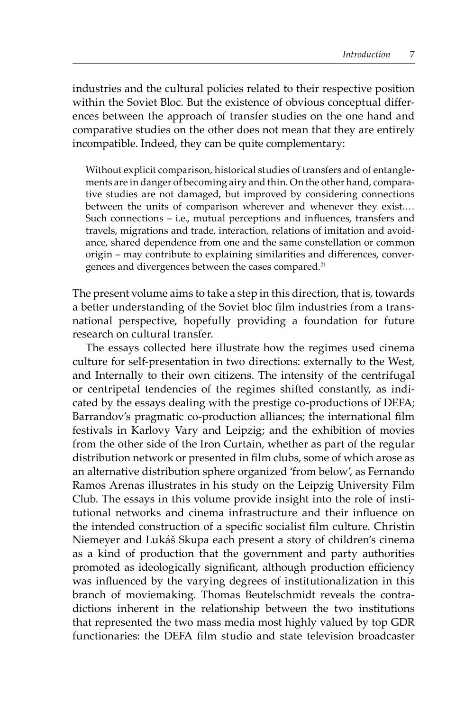industries and the cultural policies related to their respective position within the Soviet Bloc. But the existence of obvious conceptual differences between the approach of transfer studies on the one hand and comparative studies on the other does not mean that they are entirely incompatible. Indeed, they can be quite complementary:

Without explicit comparison, historical studies of transfers and of entanglements are in danger of becoming airy and thin. On the other hand, comparative studies are not damaged, but improved by considering connections between the units of comparison wherever and whenever they exist.… Such connections – i.e., mutual perceptions and influences, transfers and travels, migrations and trade, interaction, relations of imitation and avoidance, shared dependence from one and the same constellation or common origin – may contribute to explaining similarities and differences, convergences and divergences between the cases compared.<sup>21</sup>

The present volume aims to take a step in this direction, that is, towards a better understanding of the Soviet bloc film industries from a transnational perspective, hopefully providing a foundation for future research on cultural transfer.

The essays collected here illustrate how the regimes used cinema culture for self-presentation in two directions: externally to the West, and Internally to their own citizens. The intensity of the centrifugal or centripetal tendencies of the regimes shifted constantly, as indicated by the essays dealing with the prestige co-productions of DEFA; Barrandov's pragmatic co-production alliances; the international film festivals in Karlovy Vary and Leipzig; and the exhibition of movies from the other side of the Iron Curtain, whether as part of the regular distribution network or presented in film clubs, some of which arose as an alternative distribution sphere organized 'from below', as Fernando Ramos Arenas illustrates in his study on the Leipzig University Film Club. The essays in this volume provide insight into the role of institutional networks and cinema infrastructure and their influence on the intended construction of a specific socialist film culture. Christin Niemeyer and Lukáš Skupa each present a story of children's cinema as a kind of production that the government and party authorities promoted as ideologically significant, although production efficiency was influenced by the varying degrees of institutionalization in this branch of moviemaking. Thomas Beutelschmidt reveals the contradictions inherent in the relationship between the two institutions that represented the two mass media most highly valued by top GDR functionaries: the DEFA film studio and state television broadcaster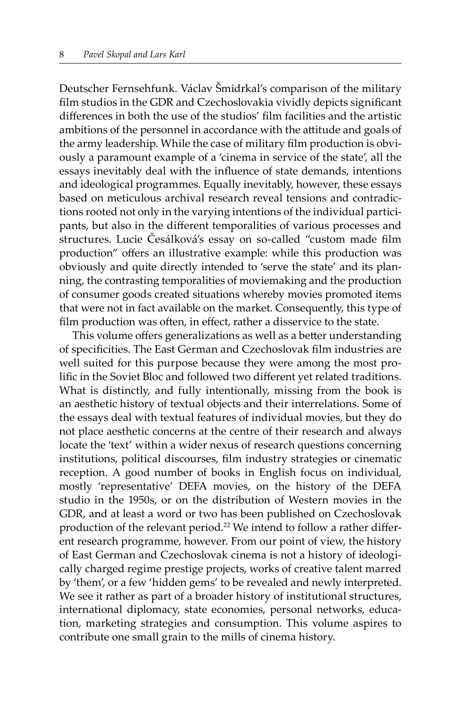Deutscher Fernsehfunk. Václav Šmidrkal's comparison of the military film studios in the GDR and Czechoslovakia vividly depicts significant differences in both the use of the studios' film facilities and the artistic ambitions of the personnel in accordance with the attitude and goals of the army leadership. While the case of military film production is obviously a paramount example of a 'cinema in service of the state', all the essays inevitably deal with the influence of state demands, intentions and ideological programmes. Equally inevitably, however, these essays based on meticulous archival research reveal tensions and contradictions rooted not only in the varying intentions of the individual participants, but also in the different temporalities of various processes and structures. Lucie Česálková's essay on so-called "custom made film production" offers an illustrative example: while this production was obviously and quite directly intended to 'serve the state' and its planning, the contrasting temporalities of moviemaking and the production of consumer goods created situations whereby movies promoted items that were not in fact available on the market. Consequently, this type of film production was often, in effect, rather a disservice to the state.

This volume offers generalizations as well as a better understanding of specificities. The East German and Czechoslovak film industries are well suited for this purpose because they were among the most prolific in the Soviet Bloc and followed two different yet related traditions. What is distinctly, and fully intentionally, missing from the book is an aesthetic history of textual objects and their interrelations. Some of the essays deal with textual features of individual movies, but they do not place aesthetic concerns at the centre of their research and always locate the 'text' within a wider nexus of research questions concerning institutions, political discourses, film industry strategies or cinematic reception. A good number of books in English focus on individual, mostly 'representative' DEFA movies, on the history of the DEFA studio in the 1950s, or on the distribution of Western movies in the GDR, and at least a word or two has been published on Czechoslovak production of the relevant period.<sup>22</sup> We intend to follow a rather different research programme, however. From our point of view, the history of East German and Czechoslovak cinema is not a history of ideologically charged regime prestige projects, works of creative talent marred by 'them', or a few 'hidden gems' to be revealed and newly interpreted. We see it rather as part of a broader history of institutional structures, international diplomacy, state economies, personal networks, education, marketing strategies and consumption. This volume aspires to contribute one small grain to the mills of cinema history.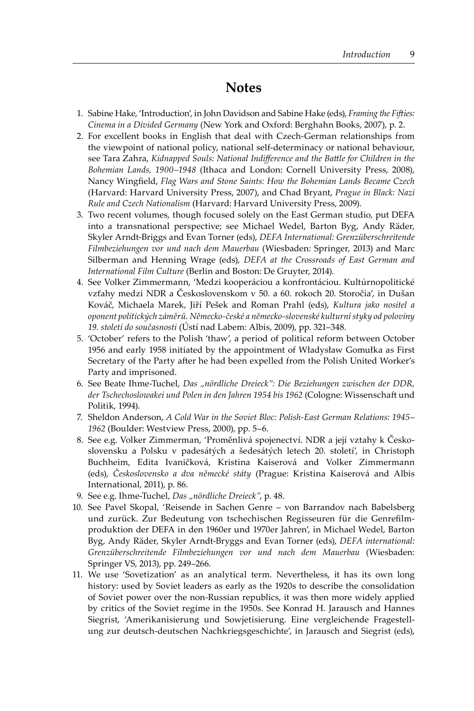## **Notes**

- 1. Sabine Hake, 'Introduction', in John Davidson and Sabine Hake (eds), *Framing the Fifties: Cinema in a Divided Germany* (New York and Oxford: Berghahn Books, 2007), p. 2.
- 2. For excellent books in English that deal with Czech-German relationships from the viewpoint of national policy, national self-determinacy or national behaviour, see Tara Zahra, *Kidnapped Souls: National Indifference and the Battle for Children in the Bohemian Lands, 1900–1948* (Ithaca and London: Cornell University Press, 2008), Nancy Wingfield, *Flag Wars and Stone Saints: How the Bohemian Lands Became Czech* (Harvard: Harvard University Press, 2007), and Chad Bryant, *Prague in Black: Nazi Rule and Czech Nationalism* (Harvard: Harvard University Press, 2009).
- 3. Two recent volumes, though focused solely on the East German studio, put DEFA into a transnational perspective; see Michael Wedel, Barton Byg, Andy Räder, Skyler Arndt-Briggs and Evan Torner (eds), *DEFA International: Grenzüberschreitende Filmbeziehungen vor und nach dem Mauerbau* (Wiesbaden: Springer, 2013) and Marc Silberman and Henning Wrage (eds), *DEFA at the Crossroads of East German and International Film Culture* (Berlin and Boston: De Gruyter, 2014).
- 4. See Volker Zimmermann, 'Medzi kooperáciou a konfrontáciou. Kultúrnopolitické vzťahy medzi NDR a Československom v 50. a 60. rokoch 20. Storočia', in Dušan Kováč, Michaela Marek, Jiří Pešek and Roman Prahl (eds), *Kultura jako nositel a oponent politických záměrů. Německo-české a německo-slovenské kulturnístyky od poloviny 19. století do současnosti* (Ústí nad Labem: Albis, 2009), pp. 321–348.
- 5. 'October' refers to the Polish 'thaw', a period of political reform between October 1956 and early 1958 initiated by the appointment of Władysław Gomułka as First Secretary of the Party after he had been expelled from the Polish United Worker's Party and imprisoned.
- 6. See Beate Ihme-Tuchel, *Das "nördliche Dreieck": Die Beziehungen zwischen der DDR, der Tschechoslowakei und Polen in den Jahren 1954 bis 1962* (Cologne: Wissenschaft und Politik, 1994).
- 7. Sheldon Anderson, *A Cold War in the Soviet Bloc: Polish-East German Relations: 1945– 1962* (Boulder: Westview Press, 2000), pp. 5–6.
- 8. See e.g. Volker Zimmerman, 'Proměnlivá spojenectví. NDR a její vztahy k Československu a Polsku v padesátých a šedesátých letech 20. století', in Christoph Buchheim, Edita Ivaničková, Kristina Kaiserová and Volker Zimmermann (eds), *Československo a dva německé státy* (Prague: Kristina Kaiserová and Albis International, 2011), p. 86.
- 9. See e.g. Ihme-Tuchel, *Das "nördliche Dreieck"*, p. 48.
- 10. See Pavel Skopal, 'Reisende in Sachen Genre von Barrandov nach Babelsberg und zurück. Zur Bedeutung von tschechischen Regisseuren für die Genrefilmproduktion der DEFA in den 1960er und 1970er Jahren', in Michael Wedel, Barton Byg, Andy Räder, Skyler Arndt-Bryggs and Evan Torner (eds), *DEFA international: Grenzüberschreitende Filmbeziehungen vor und nach dem Mauerbau* (Wiesbaden: Springer VS, 2013), pp. 249–266.
- 11. We use 'Sovetization' as an analytical term. Nevertheless, it has its own long history: used by Soviet leaders as early as the 1920s to describe the consolidation of Soviet power over the non-Russian republics, it was then more widely applied by critics of the Soviet regime in the 1950s. See Konrad H. Jarausch and Hannes Siegrist, 'Amerikanisierung und Sowjetisierung. Eine vergleichende Fragestellung zur deutsch-deutschen Nachkriegsgeschichte', in Jarausch and Siegrist (eds),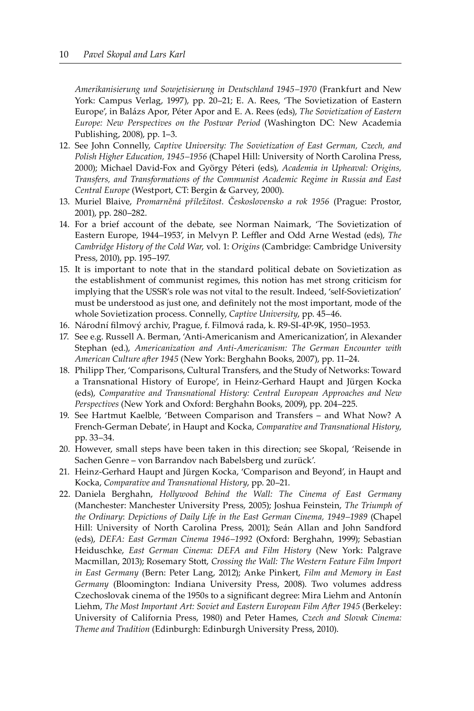*Amerikanisierung und Sowjetisierung in Deutschland 1945–1970* (Frankfurt and New York: Campus Verlag, 1997), pp. 20–21; E. A. Rees, 'The Sovietization of Eastern Europe', in Balázs Apor, Péter Apor and E. A. Rees (eds), *The Sovietization of Eastern Europe: New Perspectives on the Postwar Period* (Washington DC: New Academia Publishing, 2008), pp. 1–3.

- 12. See John Connelly, *Captive University: The Sovietization of East German, Czech, and Polish Higher Education, 1945–1956* (Chapel Hill: University of North Carolina Press, 2000); Michael David-Fox and György Péteri (eds), *Academia in Upheaval: Origins, Transfers, and Transformations of the Communist Academic Regime in Russia and East Central Europe* (Westport, CT: Bergin & Garvey, 2000).
- 13. Muriel Blaive, *Promarněná příležitost. Československo a rok 1956* (Prague: Prostor, 2001), pp. 280–282.
- 14. For a brief account of the debate, see Norman Naimark, 'The Sovietization of Eastern Europe, 1944–1953', in Melvyn P. Leffler and Odd Arne Westad (eds), *The Cambridge History of the Cold War*, vol. 1: *Origins* (Cambridge: Cambridge University Press, 2010), pp. 195–197.
- 15. It is important to note that in the standard political debate on Sovietization as the establishment of communist regimes, this notion has met strong criticism for implying that the USSR's role was not vital to the result. Indeed, 'self-Sovietization' must be understood as just one, and definitely not the most important, mode of the whole Sovietization process. Connelly, *Captive University*, pp. 45–46.
- 16. Národní filmový archiv, Prague, f. Filmová rada, k. R9-SI-4P-9K, 1950–1953.
- 17. See e.g. Russell A. Berman, 'Anti-Americanism and Americanization', in Alexander Stephan (ed.), *Americanization and Anti-Americanism: The German Encounter with American Culture after 1945* (New York: Berghahn Books, 2007), pp. 11–24.
- 18. Philipp Ther, 'Comparisons, Cultural Transfers, and the Study of Networks: Toward a Transnational History of Europe', in Heinz-Gerhard Haupt and Jürgen Kocka (eds), *Comparative and Transnational History: Central European Approaches and New Perspectives* (New York and Oxford: Berghahn Books, 2009), pp. 204–225.
- 19. See Hartmut Kaelble, 'Between Comparison and Transfers and What Now? A French-German Debate', in Haupt and Kocka, *Comparative and Transnational History*, pp. 33–34.
- 20. However, small steps have been taken in this direction; see Skopal, 'Reisende in Sachen Genre – von Barrandov nach Babelsberg und zurück'.
- 21. Heinz-Gerhard Haupt and Jürgen Kocka, 'Comparison and Beyond', in Haupt and Kocka, *Comparative and Transnational History*, pp. 20–21.
- 22. Daniela Berghahn, *Hollywood Behind the Wall: The Cinema of East Germany* (Manchester: Manchester University Press, 2005); Joshua Feinstein, *The Triumph of the Ordinary*: *Depictions of Daily Life in the East German Cinema, 1949–1989* (Chapel Hill: University of North Carolina Press, 2001); Seán Allan and John Sandford (eds), *DEFA: East German Cinema 1946–1992* (Oxford: Berghahn, 1999); Sebastian Heiduschke, *East German Cinema: DEFA and Film History* (New York: Palgrave Macmillan, 2013); Rosemary Stott, *Crossing the Wall: The Western Feature Film Import in East Germany* (Bern: Peter Lang, 2012); Anke Pinkert, *Film and Memory in East Germany* (Bloomington: Indiana University Press, 2008). Two volumes address Czechoslovak cinema of the 1950s to a significant degree: Mira Liehm and Antonín Liehm, *The Most Important Art: Soviet and Eastern European Film After 1945* (Berkeley: University of California Press, 1980) and Peter Hames, *Czech and Slovak Cinema: Theme and Tradition* (Edinburgh: Edinburgh University Press, 2010).